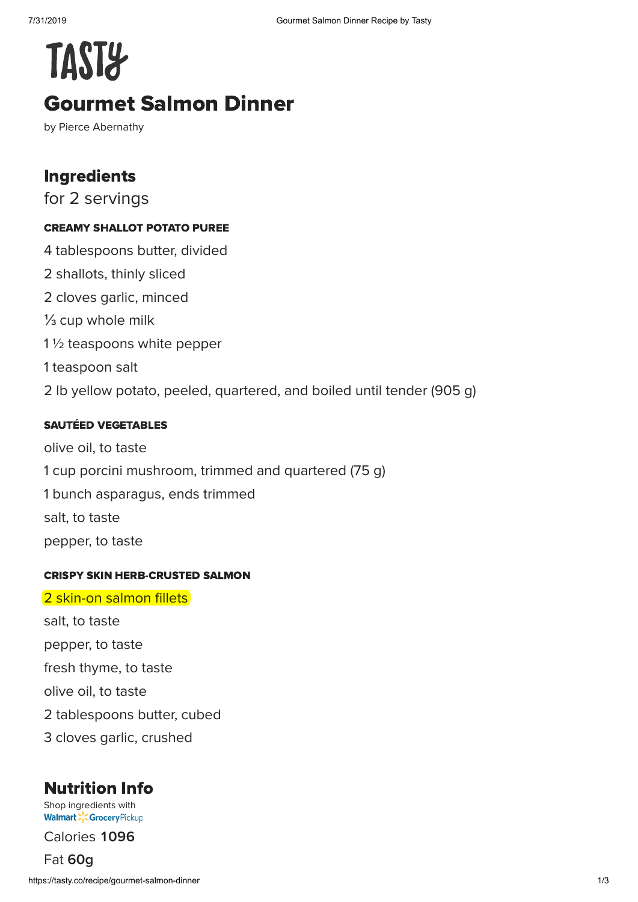# **TAST&** Gourmet Salmon Dinner

by Pierce Abernathy

## Ingredients

for 2 servings

#### CREAMY SHALLOT POTATO PUREE

4 tablespoons butter, divided 2 shallots, thinly sliced 2 cloves garlic, minced ⅓ cup whole milk 1 ½ teaspoons white pepper 1 teaspoon salt 2 lb yellow potato, peeled, quartered, and boiled until tender (905 g)

#### SAUTÉED VEGETABLES

olive oil, to taste 1 cup porcini mushroom, trimmed and quartered (75 g) 1 bunch asparagus, ends trimmed salt, to taste pepper, to taste

#### CRISPY SKIN HERB-CRUSTED SALMON

#### 2 skin-on salmon fillets

salt, to taste pepper, to taste fresh thyme, to taste olive oil, to taste 2 tablespoons butter, cubed 3 cloves garlic, crushed

# Nutrition Info

[Shop ingredients with](https://grocery.walmart.com/) **Walmart > Crocery Pickup** 

Calories 1096

Fat **g**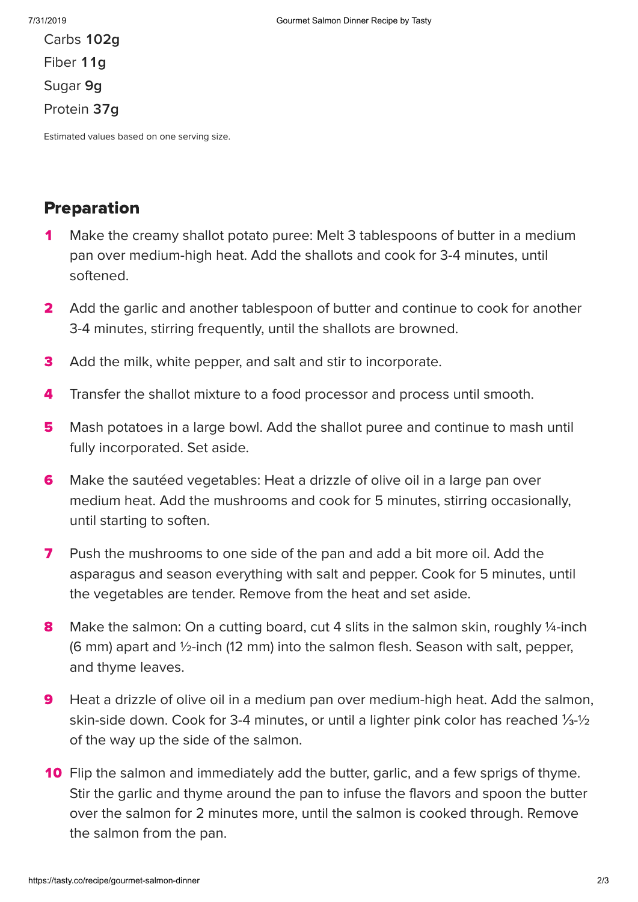Carbs **102g** Fiber 11g Sugar **g** Protein 37g

Estimated values based on one serving size.

### Preparation

- Make the creamy shallot potato puree: Melt 3 tablespoons of butter in a medium pan over medium-high heat. Add the shallots and cook for 3-4 minutes, until softened.  $\blacktriangleleft$
- Add the garlic and another tablespoon of butter and continue to cook for another 3-4 minutes, stirring frequently, until the shallots are browned.  $\overline{\mathbf{2}}$
- Add the milk, white pepper, and salt and stir to incorporate. 3
- Transfer the shallot mixture to a food processor and process until smooth. 4
- Mash potatoes in a large bowl. Add the shallot puree and continue to mash until fully incorporated. Set aside. 5
- Make the sautéed vegetables: Heat a drizzle of olive oil in a large pan over medium heat. Add the mushrooms and cook for 5 minutes, stirring occasionally, until starting to soften. 6
- Push the mushrooms to one side of the pan and add a bit more oil. Add the asparagus and season everything with salt and pepper. Cook for 5 minutes, until the vegetables are tender. Remove from the heat and set aside. 7
- Make the salmon: On a cutting board, cut 4 slits in the salmon skin, roughly 1/4-inch (6 mm) apart and ½-inch (12 mm) into the salmon flesh. Season with salt, pepper, and thyme leaves. 8
- Heat a drizzle of olive oil in a medium pan over medium-high heat. Add the salmon, skin-side down. Cook for 3-4 minutes, or until a lighter pink color has reached ⅓-½ of the way up the side of the salmon. 9
- 10 Flip the salmon and immediately add the butter, garlic, and a few sprigs of thyme. Stir the garlic and thyme around the pan to infuse the flavors and spoon the butter over the salmon for 2 minutes more, until the salmon is cooked through. Remove the salmon from the pan.